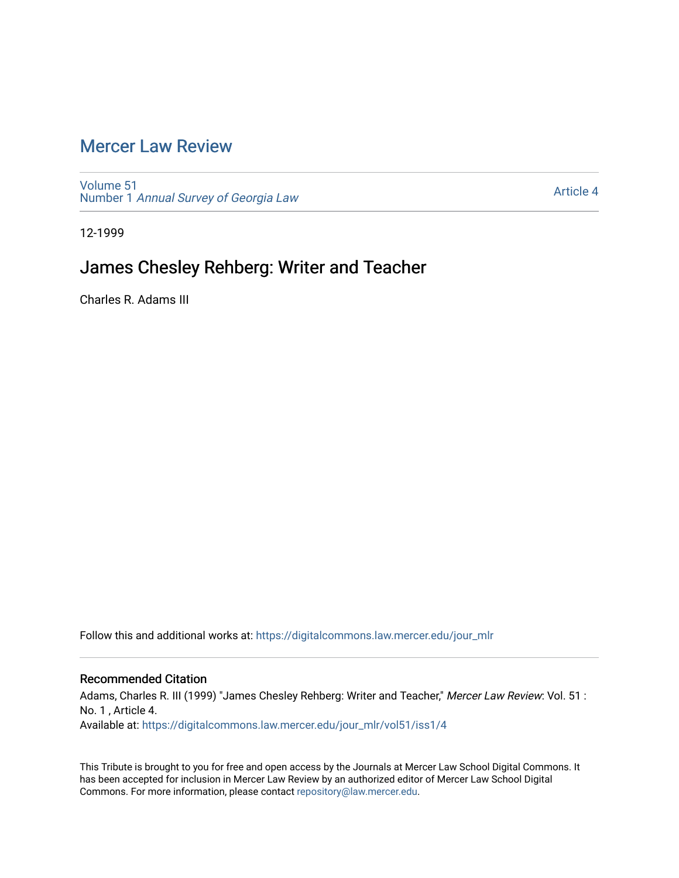## [Mercer Law Review](https://digitalcommons.law.mercer.edu/jour_mlr)

[Volume 51](https://digitalcommons.law.mercer.edu/jour_mlr/vol51) Number 1 [Annual Survey of Georgia Law](https://digitalcommons.law.mercer.edu/jour_mlr/vol51/iss1) 

[Article 4](https://digitalcommons.law.mercer.edu/jour_mlr/vol51/iss1/4) 

12-1999

## James Chesley Rehberg: Writer and Teacher

Charles R. Adams III

Follow this and additional works at: [https://digitalcommons.law.mercer.edu/jour\\_mlr](https://digitalcommons.law.mercer.edu/jour_mlr?utm_source=digitalcommons.law.mercer.edu%2Fjour_mlr%2Fvol51%2Fiss1%2F4&utm_medium=PDF&utm_campaign=PDFCoverPages)

### Recommended Citation

Adams, Charles R. III (1999) "James Chesley Rehberg: Writer and Teacher," Mercer Law Review: Vol. 51 : No. 1 , Article 4. Available at: [https://digitalcommons.law.mercer.edu/jour\\_mlr/vol51/iss1/4](https://digitalcommons.law.mercer.edu/jour_mlr/vol51/iss1/4?utm_source=digitalcommons.law.mercer.edu%2Fjour_mlr%2Fvol51%2Fiss1%2F4&utm_medium=PDF&utm_campaign=PDFCoverPages)

This Tribute is brought to you for free and open access by the Journals at Mercer Law School Digital Commons. It has been accepted for inclusion in Mercer Law Review by an authorized editor of Mercer Law School Digital Commons. For more information, please contact [repository@law.mercer.edu.](mailto:repository@law.mercer.edu)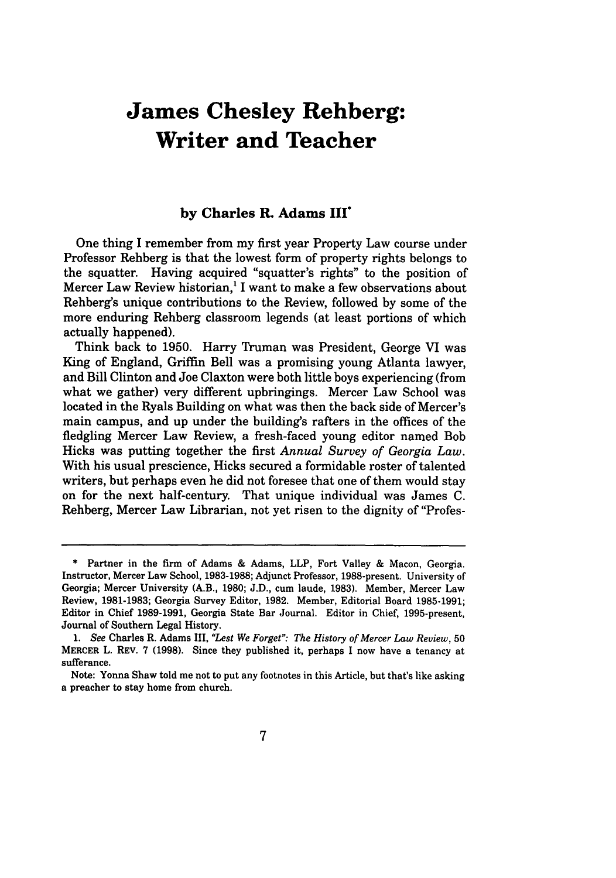# **James Chesley Rehberg: Writer and Teacher**

#### **by Charles R. Adams III\***

One thing I remember from my first year Property Law course under Professor Rehberg is that the lowest form of property rights belongs to the squatter. Having acquired "squatter's rights" to the position of Mercer Law Review historian,<sup>1</sup> I want to make a few observations about Rehberg's unique contributions to the Review, followed by some of the more enduring Rehberg classroom legends (at least portions of which actually happened).

Think back to 1950. Harry Truman was President, George VI was King of England, Griffin Bell was a promising young Atlanta lawyer, and Bill Clinton and Joe Claxton were both little boys experiencing (from what we gather) very different upbringings. Mercer Law School was located in the Ryals Building on what was then the back side of Mercer's main campus, and up under the building's rafters in the offices of the fledgling Mercer Law Review, a fresh-faced young editor named Bob Hicks was putting together the first *Annual Survey of Georgia Law.* With his usual prescience, Hicks secured a formidable roster of talented writers, but perhaps even he did not foresee that one of them would stay on for the next half-century. That unique individual was James C. Rehberg, Mercer Law Librarian, not yet risen to the dignity of "Profes-

**<sup>\*</sup>** Partner in the firm of Adams & Adams, LLP, Fort Valley & Macon, Georgia. Instructor, Mercer Law School, 1983-1988; Adjunct Professor, 1988-present. University of Georgia; Mercer University (A.B., 1980; J.D., cum laude, 1983). Member, Mercer Law Review, 1981-1983; Georgia Survey Editor, 1982. Member, Editorial Board 1985-1991; Editor in Chief 1989-1991, Georgia State Bar Journal. Editor in Chief, 1995-present, Journal of Southern Legal History.

*<sup>1.</sup> See* Charles R. Adams III, *"Lest We Forget": The History of Mercer Law Review,* 50 MERCER L. REV. 7 (1998). Since they published it, perhaps I now have a tenancy at sufferance.

Note: Yonna Shaw told me not to put any footnotes in this Article, but that's like asking a preacher to stay home from church.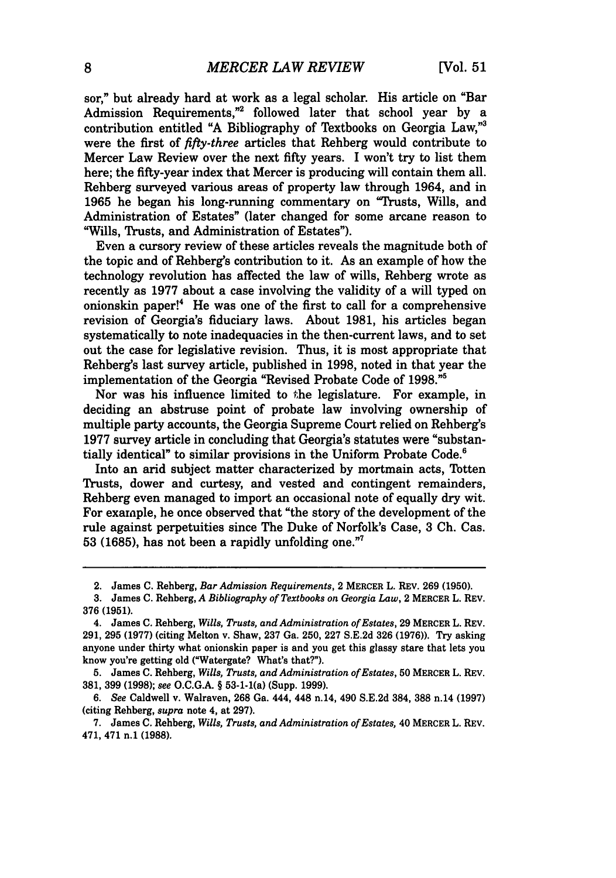sor," but already hard at work as a legal scholar. His article on "Bar Admission Requirements,"2 followed later that school year by a contribution entitled **"A** Bibliography of Textbooks on Georgia Law,"3 were the first of *fifty-three* articles that Rehberg would contribute to Mercer Law Review over the next fifty years. I won't try to list them here; the fifty-year index that Mercer is producing will contain them all. Rehberg surveyed various areas of property law through 1964, and in 1965 he began his long-running commentary on "Trusts, Wills, and Administration of Estates" (later changed for some arcane reason to "Wills, Trusts, and Administration of Estates").

Even a cursory review of these articles reveals the magnitude both of the topic and of Rehberg's contribution to it. As an example of how the technology revolution has affected the law of wills, Rehberg wrote as recently as 1977 about a case involving the validity of a will typed on onionskin paper!4 He was one of the first to call for a comprehensive revision of Georgia's fiduciary laws. About 1981, his articles began systematically to note inadequacies in the then-current laws, and to set out the case for legislative revision. Thus, it is most appropriate that Rehberg's last survey article, published in 1998, noted in that year the implementation of the Georgia "Revised Probate Code of 1998."<sup>5</sup>

Nor was his influence limited to the legislature. For example, in deciding an abstruse point of probate law involving ownership of multiple party accounts, the Georgia Supreme Court relied on Rehberg's 1977 survey article in concluding that Georgia's statutes were "substantially identical" to similar provisions in the Uniform Probate Code.<sup>6</sup>

Into an arid subject matter characterized by mortmain acts, Totten Trusts, dower and curtesy, and vested and contingent remainders, Rehberg even managed to import an occasional note of equally dry wit. For example, he once observed that "the story of the development of the rule against perpetuities since The Duke of Norfolk's Case, 3 Ch. Cas. 53 (1685), has not been a rapidly unfolding one."7

<sup>2.</sup> James **C.** Rehberg, *Bar Admission Requirements,* 2 MERCER L. REV. 269 **(1950).**

<sup>3.</sup> James **C.** Rehberg, *A Bibliography of Textbooks on Georgia Law,* 2 MERCER L. REV. 376 (1951).

<sup>4.</sup> James **C.** Rehberg, *Wills, Trusts, and Administration of Estates,* 29 MERCER L. REV. 291, 295 (1977) (citing Melton v. Shaw, 237 Ga. 250, 227 S.E.2d 326 (1976)). Try asking anyone under thirty what onionskin paper is and you get this glassy stare that lets you know you're getting old ("Watergate? What's that?").

<sup>5.</sup> James **C.** Rehberg, *Wills, Trusts, and Administration of Estates,* 50 MERCER L. REV. 381, 399 (1998); *see* O.C.G.A. § 53-1-1(a) (Supp. 1999).

*<sup>6.</sup> See* Caldwell v. Walraven, **268** Ga. 444, 448 n.14, 490 S.E.2d 384, 388 n.14 (1997) (citing Rehberg, *supra* note 4, at 297).

<sup>7.</sup> James **C.** Rehberg, *Wills, Trusts, and Administration of Estates,* 40 MERCER L. REV. 471, 471 n.1 **(1988).**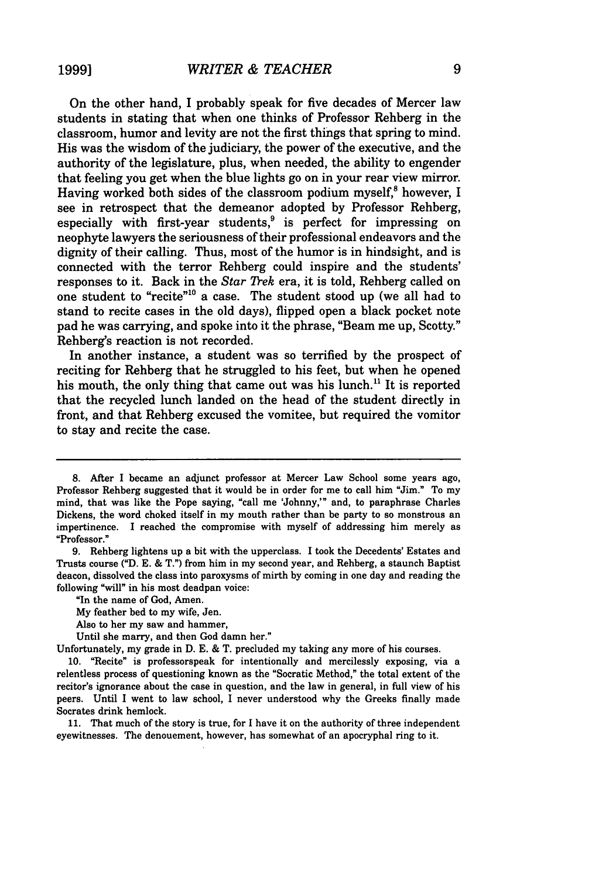On the other hand, I probably speak for five decades of Mercer law students in stating that when one thinks of Professor Rehberg in the classroom, humor and levity are not the first things that spring to mind. His was the wisdom of the judiciary, the power of the executive, and the authority of the legislature, plus, when needed, the ability to engender that feeling you get when the blue lights go on in your rear view mirror. Having worked both sides of the classroom podium myself, $8$  however, I see in retrospect that the demeanor adopted by Professor Rehberg, especially with first-year students,<sup>9</sup> is perfect for impressing on neophyte lawyers the seriousness of their professional endeavors and the dignity of their calling. Thus, most of the humor is in hindsight, and is connected with the terror Rehberg could inspire and the students' responses to it. Back in the *Star Trek* era, it is told, Rehberg called on one student to "recite"<sup>10</sup> a case. The student stood up (we all had to stand to recite cases in the old days), flipped open a black pocket note pad he was carrying, and spoke into it the phrase, "Beam me up, Scotty." Rehberg's reaction is not recorded.

In another instance, a student was so terrified by the prospect of reciting for Rehberg that he struggled to his feet, but when he opened his mouth, the only thing that came out was his lunch." It is reported that the recycled lunch landed on the head of the student directly in front, and that Rehberg excused the vomitee, but required the vomitor to stay and recite the case.

Unfortunately, my grade in D. E. & T. precluded my taking any more of his courses.

10. "Recite" is professorspeak for intentionally and mercilessly exposing, via a relentless process of questioning known as the "Socratic Method," the total extent of the recitor's ignorance about the case in question, and the law in general, in full view of his peers. Until I went to law school, I never understood why the Greeks finally made Socrates drink hemlock.

11. That much of the story is true, for I have it on the authority of three independent eyewitnesses. The denouement, however, has somewhat of an apocryphal ring to it.

<sup>8.</sup> After I became an adjunct professor at Mercer Law School some years ago, Professor Rehberg suggested that it would be in order for me to call him "Jim." To my mind, that was like the Pope saying, "call me 'Johnny,'" and, to paraphrase Charles Dickens, the word choked itself in my mouth rather than be party to so monstrous an impertinence. I reached the compromise with myself of addressing him merely as "Professor."

<sup>9.</sup> Rehberg lightens up a bit with the upperclass. I took the Decedents' Estates and Trusts course ("D. E. & T.") from him in my second year, and Rehberg, a staunch Baptist deacon, dissolved the class into paroxysms of mirth by coming in one day and reading the following "will" in his most deadpan voice:

<sup>&</sup>quot;In the name of God, Amen.

My feather bed to my wife, Jen.

Also to her my saw and hammer,

Until she marry, and then God damn her."